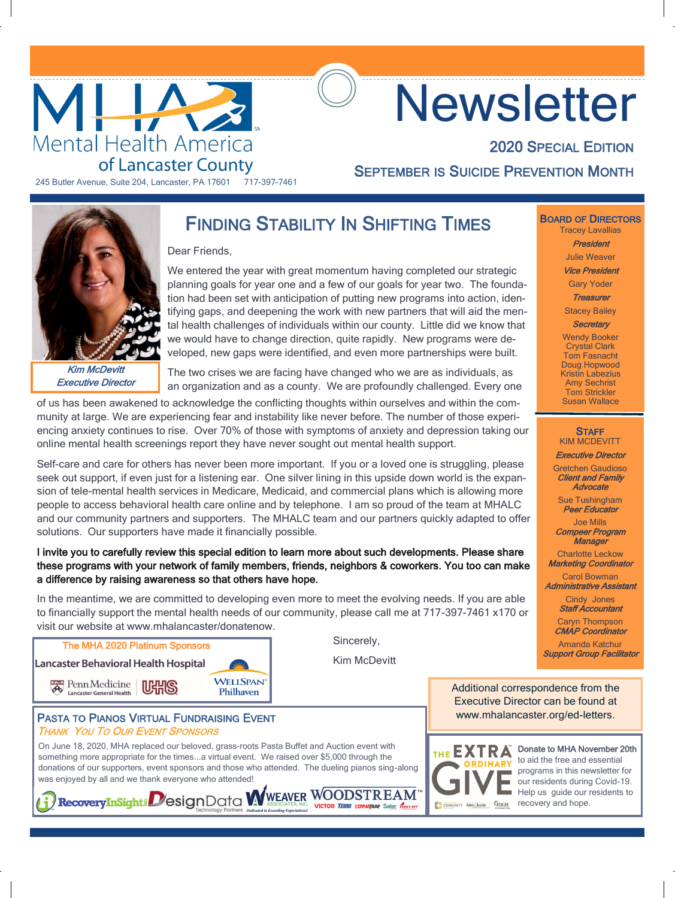

# **Newsletter**

245 Butler Avenue, Suite 204, Lancaster, PA 17601 717-397-7461

**SEPTEMBER IS SUICIDE PREVENTION MONTH** 



Kim McDevitt Executive Director

### FINDING STABILITY IN SHIFTING TIMES

 $M_{\rm H}$  Health America of Lancaster County Special Edition 2020  $\sim$ 

Dear Friends,

We entered the year with great momentum having completed our strategic planning goals for year one and a few of our goals for year two. The foundation had been set with anticipation of putting new programs into action, identifying gaps, and deepening the work with new partners that will aid the mental health challenges of individuals within our county. Little did we know that we would have to change direction, quite rapidly. New programs were developed, new gaps were identified, and even more partnerships were built.

The two crises we are facing have changed who we are as individuals, as an organization and as a county. We are profoundly challenged. Every one

> Sincerely, Kim McDevitt

of us has been awakened to acknowledge the conflicting thoughts within ourselves and within the community at large. We are experiencing fear and instability like never before. The number of those experiencing anxiety continues to rise. Over 70% of those with symptoms of anxiety and depression taking our online mental health screenings report they have never sought out mental health support.

Self-care and care for others has never been more important. If you or a loved one is struggling, please seek out support, if even just for a listening ear. One silver lining in this upside down world is the expansion of tele-mental health services in Medicare, Medicaid, and commercial plans which is allowing more people to access behavioral health care online and by telephone. I am so proud of the team at MHALC and our community partners and supporters. The MHALC team and our partners quickly adapted to offer solutions. Our supporters have made it financially possible.

#### I invite you to carefully review this special edition to learn more about such developments. Please share these programs with your network of family members, friends, neighbors & coworkers. You too can make a difference by raising awareness so that others have hope.

In the meantime, we are committed to developing even more to meet the evolving needs. If you are able to financially support the mental health needs of our community, please call me at 717-397-7461 x170 or visit our website at www.mhalancaster/donatenow.



PASTA TO PIANOS VIRTUAL FUNDRAISING EVENT THANK YOU TO OUR EVENT SPONSORS

On June 18, 2020, MHA replaced our beloved, grass-roots Pasta Buffet and Auction event with something more appropriate for the times...a virtual event. We raised over \$5,000 through the donations of our supporters, event sponsors and those who attended. The dueling pianos sing-along was enjoyed by all and we thank everyone who attended!<br> **1) RecoveryInSight!** DesignData WWEAVER WOODSTREAM



Donate to MHA November 20th to aid the free and essential programs in this newsletter for our residents during Covid-19. Help us guide our residents to

BOARD OF DIRECTORS Tracey Lavallias

2020 SPECIAL EDITION

President Julie Weaver

Vice President

Gary Yoder Treasurer

Stacey Bailey

**Secretary** 

Wendy Booker Crystal Clark Tom Fasnacht Doug Hopwood Kristin Labezius Amy Sechrist Tom Strickler Susan Wallace

#### **STAFF** KIM MCDEVITT

Executive Director Gretchen Gaudioso Client and Family

**Advocate** Sue Tushingham

Peer Educator Joe Mills

Compeer Program **Manager** 

Charlotte Leckow Marketing Coordinator

Carol Bowman Administrative Assistant

> Cindy Jones Staff Accountant

Caryn Thompson CMAP Coordinator

Amanda Katchur Support Group Facilitator

Additional correspondence from the Executive Director can be found at www.mhalancaster.org/ed-letters.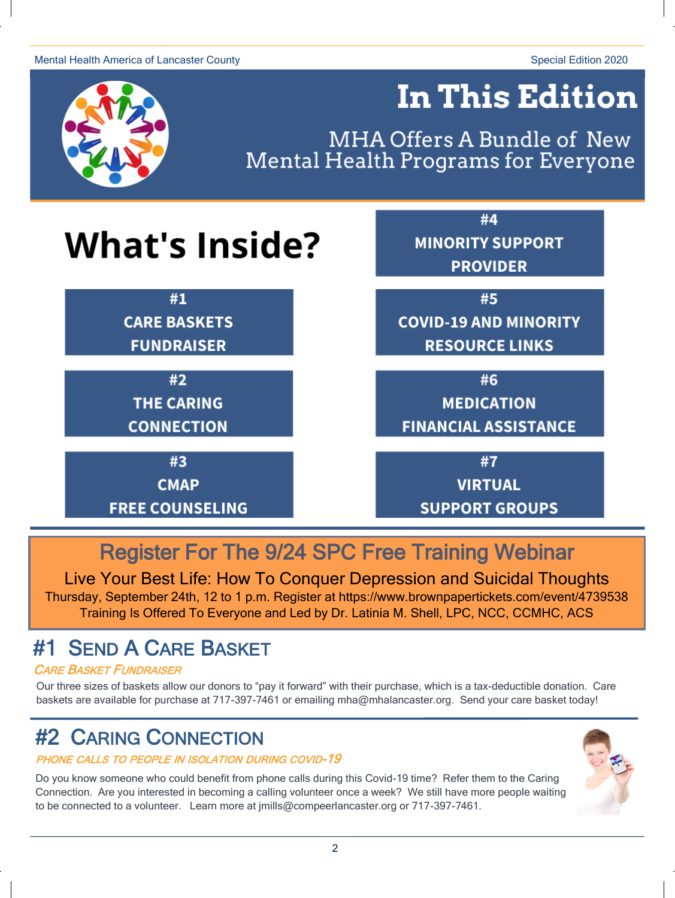#### Mental Health America of Lancaster County Special Edition 2020



# **In This Edition**

MHA Offers A Bundle of New Mental Health Programs for Everyone

# **What's Inside?**

 $#1$ **CARE BASKETS FUNDRAISER** 

> $#2$ **THE CARING CONNECTION**

#3 **CMAP** 

#4 **MINORITY SUPPORT PROVIDER** 

#5 **COVID-19 AND MINORITY RESOURCE LINKS** 

#6

**MEDICATION FINANCIAL ASSISTANCE** 

#7

**VIRTUAL Pasta To Pianos Event**

# Register For The 9/24 SPC Free Training Webinar

*The Results Are In*

Live Your Best Life: How To Conquer Depression and Suicidal Thoughts Thursday, September 24th, 12 to 1 p.m. Register at https://www.brownpapertickets.com/event/4739538 Training Is Offered To Everyone and Led by Dr. Latinia M. Shell, LPC, NCC, CCMHC, ACS

## #1 SEND A CARE BASKET

#### **CARE BASKET FUNDRAISER**

Our three sizes of baskets allow our donors to "pay it forward" with their purchase, which is a tax-deductible donation. Care baskets are available for purchase at 717-397-7461 or emailing mha@mhalancaster.org. Send your care basket today!

### **#2 CARING CONNECTION**

#### PHONE CALLS TO PEOPLE IN ISOLATION DURING COVID-19

Do you know someone who could benefit from phone calls during this Covid-19 time? Refer them to the Caring Connection. Are you interested in becoming a calling volunteer once a week? We still have more people waiting to be connected to a volunteer. Learn more at imills@compeerlancaster.org or 717-397-7461.

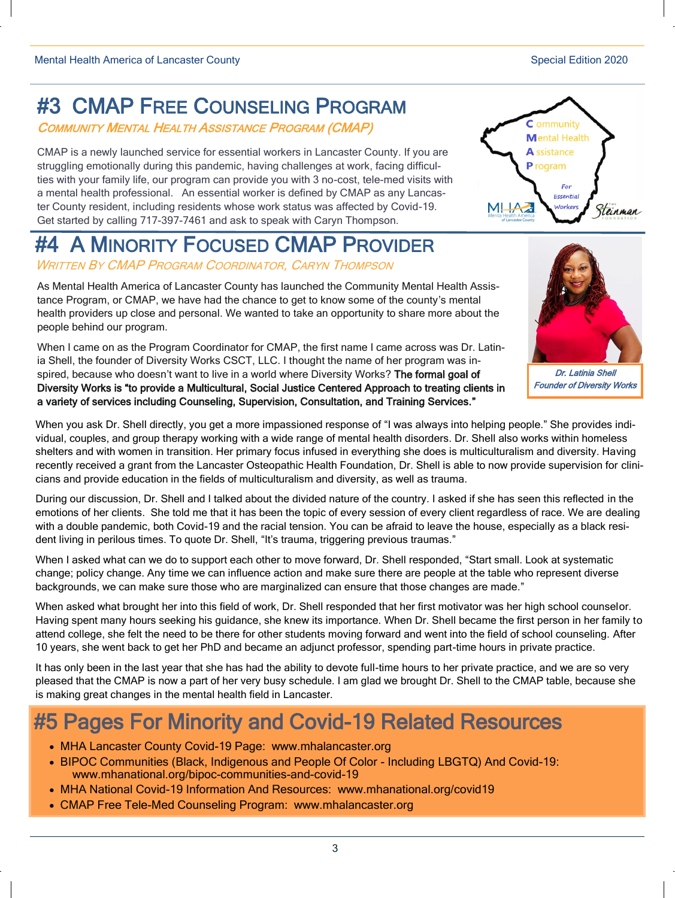# #3 CMAP FREE COUNSELING PROGRAM

COMMUNITY MENTAL HEALTH ASSISTANCE PROGRAM (CMAP)

CMAP is a newly launched service for essential workers in Lancaster County. If you are struggling emotionally during this pandemic, having challenges at work, facing difficulties with your family life, our program can provide you with 3 no-cost, tele-med visits with a mental health professional. An essential worker is defined by CMAP as any Lancaster County resident, including residents whose work status was affected by Covid-19. Get started by calling 717-397-7461 and ask to speak with Caryn Thompson.

# #4 A MINORITY FOCUSED CMAP PROVIDER

WRITTEN B<sup>Y</sup> CMAP PROGRAM COORDINATOR, CARYN THOMPSON

As Mental Health America of Lancaster County has launched the Community Mental Health Assistance Program, or CMAP, we have had the chance to get to know some of the county's mental health providers up close and personal. We wanted to take an opportunity to share more about the people behind our program.

When I came on as the Program Coordinator for CMAP, the first name I came across was Dr. Latinia Shell, the founder of Diversity Works CSCT, LLC. I thought the name of her program was inspired, because who doesn't want to live in a world where Diversity Works? The formal goal of Diversity Works is "to provide a Multicultural, Social Justice Centered Approach to treating clients in a variety of services including Counseling, Supervision, Consultation, and Training Services."

When you ask Dr. Shell directly, you get a more impassioned response of "I was always into helping people." She provides individual, couples, and group therapy working with a wide range of mental health disorders. Dr. Shell also works within homeless shelters and with women in transition. Her primary focus infused in everything she does is multiculturalism and diversity. Having recently received a grant from the Lancaster Osteopathic Health Foundation, Dr. Shell is able to now provide supervision for clinicians and provide education in the fields of multiculturalism and diversity, as well as trauma.

During our discussion, Dr. Shell and I talked about the divided nature of the country. I asked if she has seen this reflected in the emotions of her clients. She told me that it has been the topic of every session of every client regardless of race. We are dealing with a double pandemic, both Covid-19 and the racial tension. You can be afraid to leave the house, especially as a black resident living in perilous times. To quote Dr. Shell, "It's trauma, triggering previous traumas."

When I asked what can we do to support each other to move forward, Dr. Shell responded, "Start small. Look at systematic change; policy change. Any time we can influence action and make sure there are people at the table who represent diverse backgrounds, we can make sure those who are marginalized can ensure that those changes are made."

When asked what brought her into this field of work, Dr. Shell responded that her first motivator was her high school counselor. Having spent many hours seeking his guidance, she knew its importance. When Dr. Shell became the first person in her family to attend college, she felt the need to be there for other students moving forward and went into the field of school counseling. After 10 years, she went back to get her PhD and became an adjunct professor, spending part-time hours in private practice.

It has only been in the last year that she has had the ability to devote full-time hours to her private practice, and we are so very pleased that the CMAP is now a part of her very busy schedule. I am glad we brought Dr. Shell to the CMAP table, because she is making great changes in the mental health field in Lancaster.

# #5 Pages For Minority and Covid-19 Related Resources

- MHA Lancaster County Covid-[19 Page: www.mhalancaster.org](http://www.mhalancaster.org/ed-letters/)
- [BIPOC Communities \(Black, Indigenous and People Of Color](http://www.mhalancaster.org/ed-letters/)  Including LBGTQ) And Covid-19: [www.mhanational.org/bipoc](http://www.mhalancaster.org/ed-letters/)-communities-and-covid-19
- MHA National Covid-[19 Information And Resources: www.mhanational.org/covid19](http://www.mhalancaster.org/ed-letters/)
- CMAP Free Tele-Med Counseling Program: www.mhalancaster.org



Dr. Latinia Shell Founder of Diversity Works